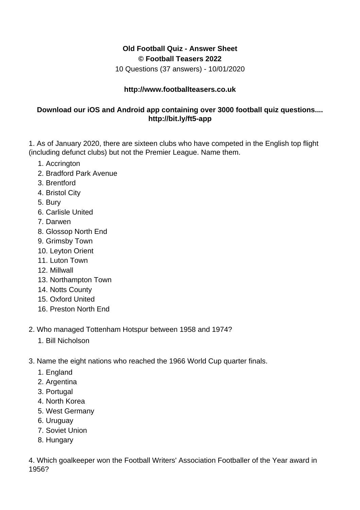## **Old Football Quiz - Answer Sheet © Football Teasers 2022**

10 Questions (37 answers) - 10/01/2020

## **http://www.footballteasers.co.uk**

## **Download our iOS and Android app containing over 3000 football quiz questions.... http://bit.ly/ft5-app**

1. As of January 2020, there are sixteen clubs who have competed in the English top flight (including defunct clubs) but not the Premier League. Name them.

- 1. Accrington
- 2. Bradford Park Avenue
- 3. Brentford
- 4. Bristol City
- 5. Bury
- 6. Carlisle United
- 7. Darwen
- 8. Glossop North End
- 9. Grimsby Town
- 10. Leyton Orient
- 11. Luton Town
- 12. Millwall
- 13. Northampton Town
- 14. Notts County
- 15. Oxford United
- 16. Preston North End
- 2. Who managed Tottenham Hotspur between 1958 and 1974?
	- 1. Bill Nicholson
- 3. Name the eight nations who reached the 1966 World Cup quarter finals.
	- 1. England
	- 2. Argentina
	- 3. Portugal
	- 4. North Korea
	- 5. West Germany
	- 6. Uruguay
	- 7. Soviet Union
	- 8. Hungary

4. Which goalkeeper won the Football Writers' Association Footballer of the Year award in 1956?